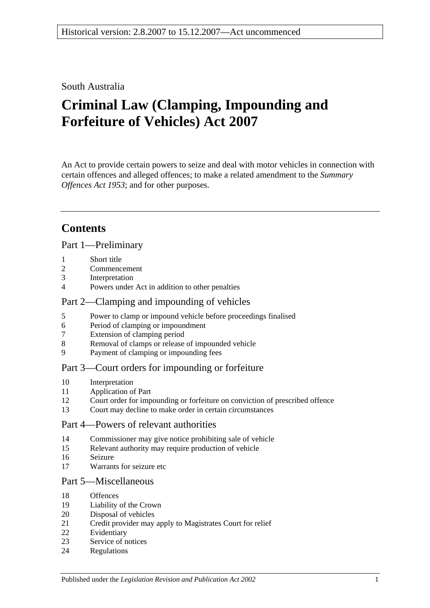### South Australia

# **Criminal Law (Clamping, Impounding and Forfeiture of Vehicles) Act 2007**

An Act to provide certain powers to seize and deal with motor vehicles in connection with certain offences and alleged offences; to make a related amendment to the *[Summary](http://www.legislation.sa.gov.au/index.aspx?action=legref&type=act&legtitle=Summary%20Offences%20Act%201953)  [Offences Act](http://www.legislation.sa.gov.au/index.aspx?action=legref&type=act&legtitle=Summary%20Offences%20Act%201953) 1953*; and for other purposes.

# **Contents**

[Part 1—Preliminary](#page-1-0)

- [Short title](#page-1-1)
- [Commencement](#page-1-2)
- [Interpretation](#page-1-3)
- [Powers under Act in addition to other penalties](#page-2-0)

### [Part 2—Clamping and impounding of vehicles](#page-2-1)

- [Power to clamp or impound vehicle before proceedings finalised](#page-2-2)
- [Period of clamping or impoundment](#page-3-0)
- [Extension of clamping period](#page-3-1)
- [Removal of clamps or release of impounded vehicle](#page-4-0)
- [Payment of clamping or impounding fees](#page-5-0)

### [Part 3—Court orders for impounding or forfeiture](#page-5-1)

- [Interpretation](#page-5-2)
- [Application of Part](#page-5-3)
- [Court order for impounding or forfeiture on conviction of prescribed offence](#page-6-0)
- [Court may decline to make order in certain circumstances](#page-7-0)

### [Part 4—Powers of relevant authorities](#page-8-0)

- [Commissioner may give notice prohibiting sale of vehicle](#page-8-1)
- [Relevant authority may require production of vehicle](#page-9-0)
- [Seizure](#page-9-1)
- [Warrants for seizure etc](#page-10-0)

### [Part 5—Miscellaneous](#page-11-0)

- [Offences](#page-11-1)
- [Liability of the Crown](#page-11-2)
- [Disposal of vehicles](#page-12-0)
- [Credit provider may apply to Magistrates Court for relief](#page-13-0)
- [Evidentiary](#page-14-0)
- [Service of notices](#page-14-1)
- [Regulations](#page-14-2)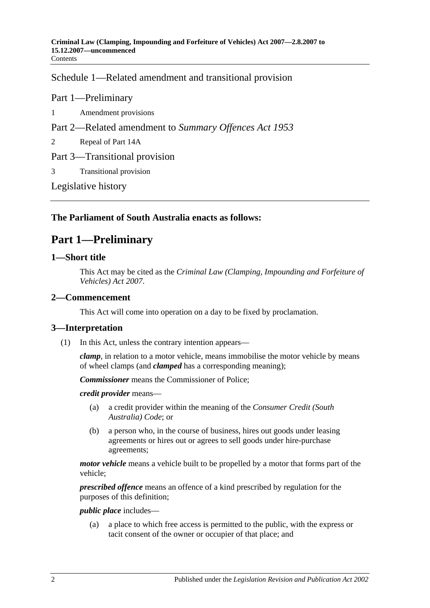[Schedule 1—Related amendment and transitional provision](#page-15-0)

### Part 1—Preliminary

- 1 [Amendment provisions](#page-15-1)
- Part 2—Related amendment to *Summary Offences Act 1953*
- 2 [Repeal of Part 14A](#page-15-2)
- Part 3—Transitional provision
- 3 [Transitional provision](#page-15-3)

[Legislative history](#page-16-0)

### <span id="page-1-0"></span>**The Parliament of South Australia enacts as follows:**

# **Part 1—Preliminary**

### <span id="page-1-1"></span>**1—Short title**

This Act may be cited as the *Criminal Law (Clamping, Impounding and Forfeiture of Vehicles) Act 2007*.

### <span id="page-1-2"></span>**2—Commencement**

This Act will come into operation on a day to be fixed by proclamation.

### <span id="page-1-3"></span>**3—Interpretation**

(1) In this Act, unless the contrary intention appears—

*clamp*, in relation to a motor vehicle, means immobilise the motor vehicle by means of wheel clamps (and *clamped* has a corresponding meaning);

*Commissioner* means the Commissioner of Police;

*credit provider* means—

- (a) a credit provider within the meaning of the *Consumer Credit (South Australia) Code*; or
- (b) a person who, in the course of business, hires out goods under leasing agreements or hires out or agrees to sell goods under hire-purchase agreements;

*motor vehicle* means a vehicle built to be propelled by a motor that forms part of the vehicle;

*prescribed offence* means an offence of a kind prescribed by regulation for the purposes of this definition;

#### *public place* includes—

(a) a place to which free access is permitted to the public, with the express or tacit consent of the owner or occupier of that place; and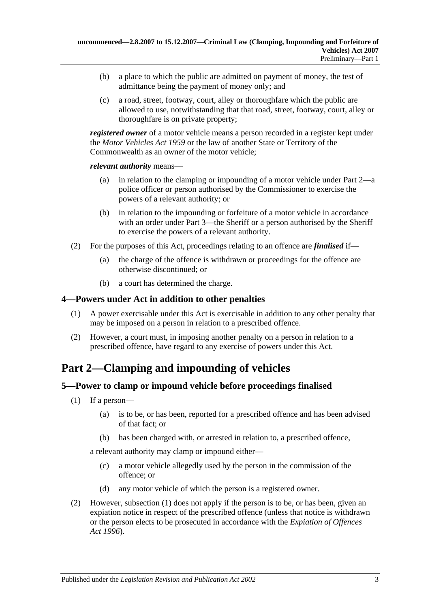- (b) a place to which the public are admitted on payment of money, the test of admittance being the payment of money only; and
- (c) a road, street, footway, court, alley or thoroughfare which the public are allowed to use, notwithstanding that that road, street, footway, court, alley or thoroughfare is on private property;

*registered owner* of a motor vehicle means a person recorded in a register kept under the *[Motor Vehicles Act](http://www.legislation.sa.gov.au/index.aspx?action=legref&type=act&legtitle=Motor%20Vehicles%20Act%201959) 1959* or the law of another State or Territory of the Commonwealth as an owner of the motor vehicle;

*relevant authority* means—

- (a) in relation to the clamping or impounding of a motor vehicle under [Part 2—](#page-2-1)a police officer or person authorised by the Commissioner to exercise the powers of a relevant authority; or
- (b) in relation to the impounding or forfeiture of a motor vehicle in accordance with an order under [Part 3—](#page-5-1)the Sheriff or a person authorised by the Sheriff to exercise the powers of a relevant authority.
- (2) For the purposes of this Act, proceedings relating to an offence are *finalised* if—
	- (a) the charge of the offence is withdrawn or proceedings for the offence are otherwise discontinued; or
	- (b) a court has determined the charge.

### <span id="page-2-0"></span>**4—Powers under Act in addition to other penalties**

- (1) A power exercisable under this Act is exercisable in addition to any other penalty that may be imposed on a person in relation to a prescribed offence.
- (2) However, a court must, in imposing another penalty on a person in relation to a prescribed offence, have regard to any exercise of powers under this Act.

# <span id="page-2-1"></span>**Part 2—Clamping and impounding of vehicles**

### <span id="page-2-3"></span><span id="page-2-2"></span>**5—Power to clamp or impound vehicle before proceedings finalised**

- (1) If a person—
	- (a) is to be, or has been, reported for a prescribed offence and has been advised of that fact; or
	- (b) has been charged with, or arrested in relation to, a prescribed offence,

<span id="page-2-4"></span>a relevant authority may clamp or impound either—

- (c) a motor vehicle allegedly used by the person in the commission of the offence; or
- (d) any motor vehicle of which the person is a registered owner.
- (2) However, [subsection](#page-2-3) (1) does not apply if the person is to be, or has been, given an expiation notice in respect of the prescribed offence (unless that notice is withdrawn or the person elects to be prosecuted in accordance with the *[Expiation of Offences](http://www.legislation.sa.gov.au/index.aspx?action=legref&type=act&legtitle=Expiation%20of%20Offences%20Act%201996)  Act [1996](http://www.legislation.sa.gov.au/index.aspx?action=legref&type=act&legtitle=Expiation%20of%20Offences%20Act%201996)*).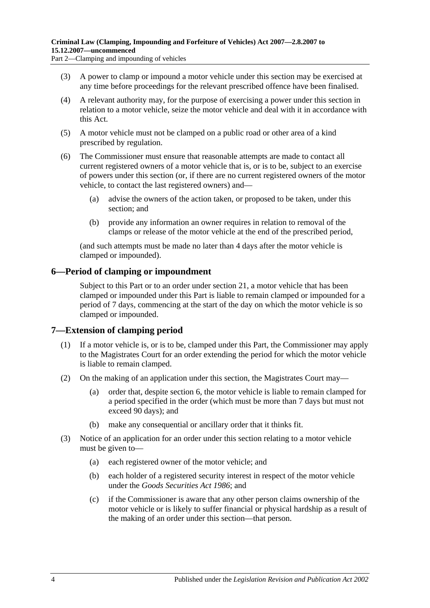Part 2—Clamping and impounding of vehicles

- (3) A power to clamp or impound a motor vehicle under this section may be exercised at any time before proceedings for the relevant prescribed offence have been finalised.
- (4) A relevant authority may, for the purpose of exercising a power under this section in relation to a motor vehicle, seize the motor vehicle and deal with it in accordance with this Act.
- (5) A motor vehicle must not be clamped on a public road or other area of a kind prescribed by regulation.
- (6) The Commissioner must ensure that reasonable attempts are made to contact all current registered owners of a motor vehicle that is, or is to be, subject to an exercise of powers under this section (or, if there are no current registered owners of the motor vehicle, to contact the last registered owners) and—
	- (a) advise the owners of the action taken, or proposed to be taken, under this section; and
	- (b) provide any information an owner requires in relation to removal of the clamps or release of the motor vehicle at the end of the prescribed period,

(and such attempts must be made no later than 4 days after the motor vehicle is clamped or impounded).

### <span id="page-3-0"></span>**6—Period of clamping or impoundment**

Subject to this Part or to an order under [section](#page-13-0) 21, a motor vehicle that has been clamped or impounded under this Part is liable to remain clamped or impounded for a period of 7 days, commencing at the start of the day on which the motor vehicle is so clamped or impounded.

### <span id="page-3-1"></span>**7—Extension of clamping period**

- (1) If a motor vehicle is, or is to be, clamped under this Part, the Commissioner may apply to the Magistrates Court for an order extending the period for which the motor vehicle is liable to remain clamped.
- (2) On the making of an application under this section, the Magistrates Court may—
	- (a) order that, despite [section](#page-3-0) 6, the motor vehicle is liable to remain clamped for a period specified in the order (which must be more than 7 days but must not exceed 90 days); and
	- (b) make any consequential or ancillary order that it thinks fit.
- <span id="page-3-2"></span>(3) Notice of an application for an order under this section relating to a motor vehicle must be given to—
	- (a) each registered owner of the motor vehicle; and
	- (b) each holder of a registered security interest in respect of the motor vehicle under the *[Goods Securities Act](http://www.legislation.sa.gov.au/index.aspx?action=legref&type=act&legtitle=Goods%20Securities%20Act%201986) 1986*; and
	- (c) if the Commissioner is aware that any other person claims ownership of the motor vehicle or is likely to suffer financial or physical hardship as a result of the making of an order under this section—that person.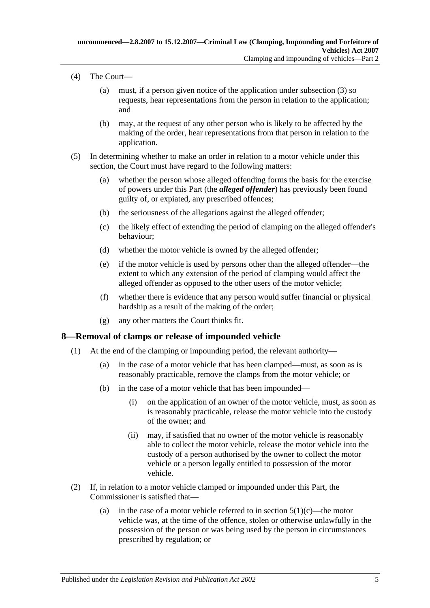- (4) The Court—
	- (a) must, if a person given notice of the application under [subsection](#page-3-2) (3) so requests, hear representations from the person in relation to the application; and
	- (b) may, at the request of any other person who is likely to be affected by the making of the order, hear representations from that person in relation to the application.
- (5) In determining whether to make an order in relation to a motor vehicle under this section, the Court must have regard to the following matters:
	- (a) whether the person whose alleged offending forms the basis for the exercise of powers under this Part (the *alleged offender*) has previously been found guilty of, or expiated, any prescribed offences;
	- (b) the seriousness of the allegations against the alleged offender;
	- (c) the likely effect of extending the period of clamping on the alleged offender's behaviour;
	- (d) whether the motor vehicle is owned by the alleged offender;
	- (e) if the motor vehicle is used by persons other than the alleged offender—the extent to which any extension of the period of clamping would affect the alleged offender as opposed to the other users of the motor vehicle;
	- (f) whether there is evidence that any person would suffer financial or physical hardship as a result of the making of the order;
	- (g) any other matters the Court thinks fit.

### <span id="page-4-0"></span>**8—Removal of clamps or release of impounded vehicle**

- (1) At the end of the clamping or impounding period, the relevant authority—
	- (a) in the case of a motor vehicle that has been clamped—must, as soon as is reasonably practicable, remove the clamps from the motor vehicle; or
	- (b) in the case of a motor vehicle that has been impounded—
		- (i) on the application of an owner of the motor vehicle, must, as soon as is reasonably practicable, release the motor vehicle into the custody of the owner; and
		- (ii) may, if satisfied that no owner of the motor vehicle is reasonably able to collect the motor vehicle, release the motor vehicle into the custody of a person authorised by the owner to collect the motor vehicle or a person legally entitled to possession of the motor vehicle.
- (2) If, in relation to a motor vehicle clamped or impounded under this Part, the Commissioner is satisfied that
	- (a) in the case of a motor vehicle referred to in [section](#page-2-4)  $5(1)(c)$ —the motor vehicle was, at the time of the offence, stolen or otherwise unlawfully in the possession of the person or was being used by the person in circumstances prescribed by regulation; or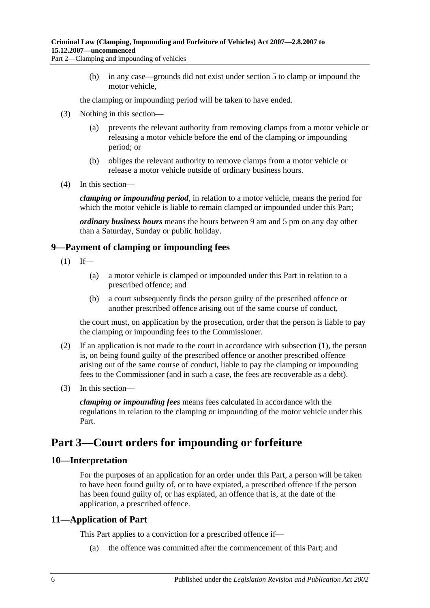(b) in any case—grounds did not exist under [section](#page-2-2) 5 to clamp or impound the motor vehicle,

the clamping or impounding period will be taken to have ended.

- (3) Nothing in this section—
	- (a) prevents the relevant authority from removing clamps from a motor vehicle or releasing a motor vehicle before the end of the clamping or impounding period; or
	- (b) obliges the relevant authority to remove clamps from a motor vehicle or release a motor vehicle outside of ordinary business hours.
- (4) In this section—

*clamping or impounding period*, in relation to a motor vehicle, means the period for which the motor vehicle is liable to remain clamped or impounded under this Part;

*ordinary business hours* means the hours between 9 am and 5 pm on any day other than a Saturday, Sunday or public holiday.

### <span id="page-5-4"></span><span id="page-5-0"></span>**9—Payment of clamping or impounding fees**

- $(1)$  If—
	- (a) a motor vehicle is clamped or impounded under this Part in relation to a prescribed offence; and
	- (b) a court subsequently finds the person guilty of the prescribed offence or another prescribed offence arising out of the same course of conduct,

the court must, on application by the prosecution, order that the person is liable to pay the clamping or impounding fees to the Commissioner.

- (2) If an application is not made to the court in accordance with [subsection](#page-5-4) (1), the person is, on being found guilty of the prescribed offence or another prescribed offence arising out of the same course of conduct, liable to pay the clamping or impounding fees to the Commissioner (and in such a case, the fees are recoverable as a debt).
- (3) In this section—

*clamping or impounding fees* means fees calculated in accordance with the regulations in relation to the clamping or impounding of the motor vehicle under this Part.

# <span id="page-5-1"></span>**Part 3—Court orders for impounding or forfeiture**

### <span id="page-5-2"></span>**10—Interpretation**

For the purposes of an application for an order under this Part, a person will be taken to have been found guilty of, or to have expiated, a prescribed offence if the person has been found guilty of, or has expiated, an offence that is, at the date of the application, a prescribed offence.

### <span id="page-5-3"></span>**11—Application of Part**

This Part applies to a conviction for a prescribed offence if—

(a) the offence was committed after the commencement of this Part; and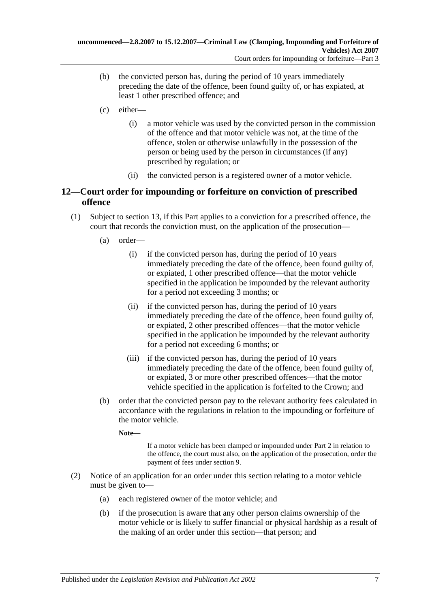- (b) the convicted person has, during the period of 10 years immediately preceding the date of the offence, been found guilty of, or has expiated, at least 1 other prescribed offence; and
- <span id="page-6-2"></span>(c) either—
	- (i) a motor vehicle was used by the convicted person in the commission of the offence and that motor vehicle was not, at the time of the offence, stolen or otherwise unlawfully in the possession of the person or being used by the person in circumstances (if any) prescribed by regulation; or
	- (ii) the convicted person is a registered owner of a motor vehicle.

### <span id="page-6-0"></span>**12—Court order for impounding or forfeiture on conviction of prescribed offence**

- (1) Subject to [section](#page-7-0) 13, if this Part applies to a conviction for a prescribed offence, the court that records the conviction must, on the application of the prosecution—
	- (a) order—
		- (i) if the convicted person has, during the period of 10 years immediately preceding the date of the offence, been found guilty of, or expiated, 1 other prescribed offence—that the motor vehicle specified in the application be impounded by the relevant authority for a period not exceeding 3 months; or
		- (ii) if the convicted person has, during the period of 10 years immediately preceding the date of the offence, been found guilty of, or expiated, 2 other prescribed offences—that the motor vehicle specified in the application be impounded by the relevant authority for a period not exceeding 6 months; or
		- (iii) if the convicted person has, during the period of 10 years immediately preceding the date of the offence, been found guilty of, or expiated, 3 or more other prescribed offences—that the motor vehicle specified in the application is forfeited to the Crown; and
	- (b) order that the convicted person pay to the relevant authority fees calculated in accordance with the regulations in relation to the impounding or forfeiture of the motor vehicle.

**Note—**

If a motor vehicle has been clamped or impounded under [Part 2](#page-2-1) in relation to the offence, the court must also, on the application of the prosecution, order the payment of fees under [section](#page-5-0) 9.

- <span id="page-6-1"></span>(2) Notice of an application for an order under this section relating to a motor vehicle must be given to—
	- (a) each registered owner of the motor vehicle; and
	- (b) if the prosecution is aware that any other person claims ownership of the motor vehicle or is likely to suffer financial or physical hardship as a result of the making of an order under this section—that person; and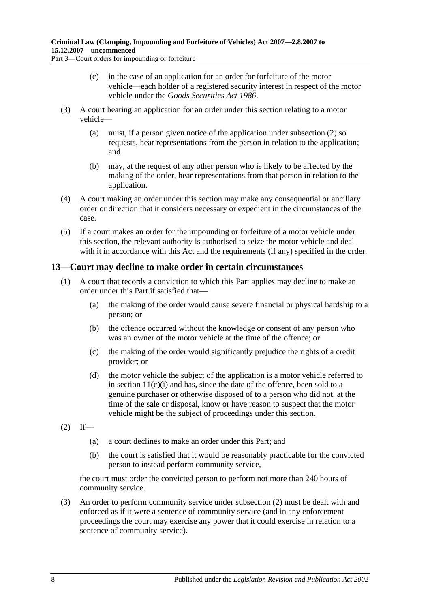Part 3—Court orders for impounding or forfeiture

- (c) in the case of an application for an order for forfeiture of the motor vehicle—each holder of a registered security interest in respect of the motor vehicle under the *[Goods Securities Act](http://www.legislation.sa.gov.au/index.aspx?action=legref&type=act&legtitle=Goods%20Securities%20Act%201986) 1986*.
- (3) A court hearing an application for an order under this section relating to a motor vehicle—
	- (a) must, if a person given notice of the application under [subsection](#page-6-1) (2) so requests, hear representations from the person in relation to the application; and
	- (b) may, at the request of any other person who is likely to be affected by the making of the order, hear representations from that person in relation to the application.
- (4) A court making an order under this section may make any consequential or ancillary order or direction that it considers necessary or expedient in the circumstances of the case.
- (5) If a court makes an order for the impounding or forfeiture of a motor vehicle under this section, the relevant authority is authorised to seize the motor vehicle and deal with it in accordance with this Act and the requirements (if any) specified in the order.

### <span id="page-7-0"></span>**13—Court may decline to make order in certain circumstances**

- (1) A court that records a conviction to which this Part applies may decline to make an order under this Part if satisfied that—
	- (a) the making of the order would cause severe financial or physical hardship to a person; or
	- (b) the offence occurred without the knowledge or consent of any person who was an owner of the motor vehicle at the time of the offence; or
	- (c) the making of the order would significantly prejudice the rights of a credit provider; or
	- (d) the motor vehicle the subject of the application is a motor vehicle referred to in section  $11(c)(i)$  and has, since the date of the offence, been sold to a genuine purchaser or otherwise disposed of to a person who did not, at the time of the sale or disposal, know or have reason to suspect that the motor vehicle might be the subject of proceedings under this section.
- <span id="page-7-1"></span> $(2)$  If—
	- (a) a court declines to make an order under this Part; and
	- (b) the court is satisfied that it would be reasonably practicable for the convicted person to instead perform community service,

the court must order the convicted person to perform not more than 240 hours of community service.

(3) An order to perform community service under [subsection](#page-7-1) (2) must be dealt with and enforced as if it were a sentence of community service (and in any enforcement proceedings the court may exercise any power that it could exercise in relation to a sentence of community service).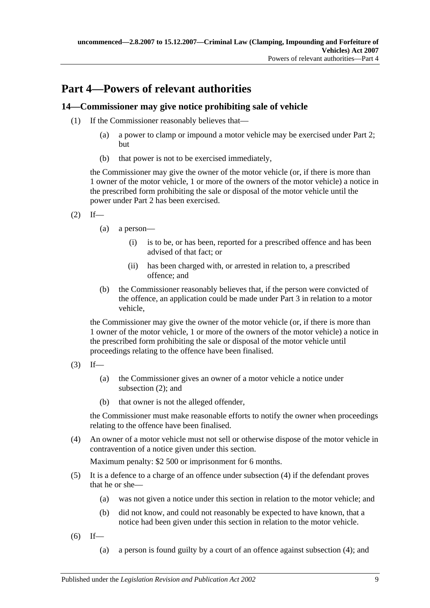# <span id="page-8-0"></span>**Part 4—Powers of relevant authorities**

### <span id="page-8-1"></span>**14—Commissioner may give notice prohibiting sale of vehicle**

- (1) If the Commissioner reasonably believes that—
	- (a) a power to clamp or impound a motor vehicle may be exercised under [Part 2;](#page-2-1) but
	- (b) that power is not to be exercised immediately,

the Commissioner may give the owner of the motor vehicle (or, if there is more than 1 owner of the motor vehicle, 1 or more of the owners of the motor vehicle) a notice in the prescribed form prohibiting the sale or disposal of the motor vehicle until the power under [Part 2](#page-2-1) has been exercised.

- <span id="page-8-2"></span> $(2)$  If—
	- (a) a person—
		- (i) is to be, or has been, reported for a prescribed offence and has been advised of that fact; or
		- (ii) has been charged with, or arrested in relation to, a prescribed offence; and
	- (b) the Commissioner reasonably believes that, if the person were convicted of the offence, an application could be made under [Part 3](#page-5-1) in relation to a motor vehicle,

the Commissioner may give the owner of the motor vehicle (or, if there is more than 1 owner of the motor vehicle, 1 or more of the owners of the motor vehicle) a notice in the prescribed form prohibiting the sale or disposal of the motor vehicle until proceedings relating to the offence have been finalised.

- $(3)$  If—
	- (a) the Commissioner gives an owner of a motor vehicle a notice under [subsection](#page-8-2) (2); and
	- (b) that owner is not the alleged offender,

the Commissioner must make reasonable efforts to notify the owner when proceedings relating to the offence have been finalised.

<span id="page-8-3"></span>(4) An owner of a motor vehicle must not sell or otherwise dispose of the motor vehicle in contravention of a notice given under this section.

Maximum penalty: \$2 500 or imprisonment for 6 months.

- (5) It is a defence to a charge of an offence under [subsection](#page-8-3) (4) if the defendant proves that he or she—
	- (a) was not given a notice under this section in relation to the motor vehicle; and
	- (b) did not know, and could not reasonably be expected to have known, that a notice had been given under this section in relation to the motor vehicle.
- <span id="page-8-4"></span> $(6)$  If—
	- (a) a person is found guilty by a court of an offence against [subsection](#page-8-3) (4); and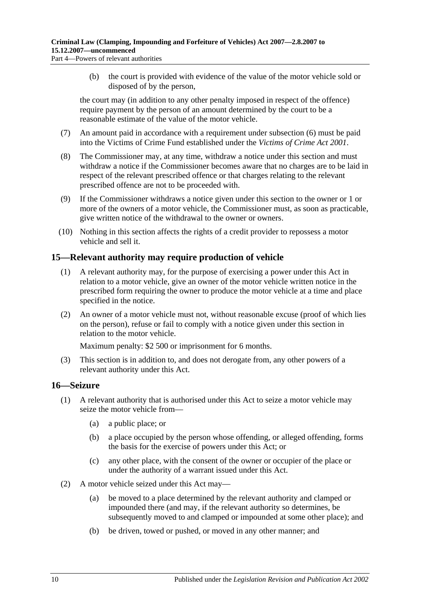- - (b) the court is provided with evidence of the value of the motor vehicle sold or disposed of by the person,

the court may (in addition to any other penalty imposed in respect of the offence) require payment by the person of an amount determined by the court to be a reasonable estimate of the value of the motor vehicle.

- (7) An amount paid in accordance with a requirement under [subsection](#page-8-4) (6) must be paid into the Victims of Crime Fund established under the *[Victims of Crime Act](http://www.legislation.sa.gov.au/index.aspx?action=legref&type=act&legtitle=Victims%20of%20Crime%20Act%202001) 2001*.
- (8) The Commissioner may, at any time, withdraw a notice under this section and must withdraw a notice if the Commissioner becomes aware that no charges are to be laid in respect of the relevant prescribed offence or that charges relating to the relevant prescribed offence are not to be proceeded with.
- (9) If the Commissioner withdraws a notice given under this section to the owner or 1 or more of the owners of a motor vehicle, the Commissioner must, as soon as practicable, give written notice of the withdrawal to the owner or owners.
- (10) Nothing in this section affects the rights of a credit provider to repossess a motor vehicle and sell it.

### <span id="page-9-0"></span>**15—Relevant authority may require production of vehicle**

- (1) A relevant authority may, for the purpose of exercising a power under this Act in relation to a motor vehicle, give an owner of the motor vehicle written notice in the prescribed form requiring the owner to produce the motor vehicle at a time and place specified in the notice.
- (2) An owner of a motor vehicle must not, without reasonable excuse (proof of which lies on the person), refuse or fail to comply with a notice given under this section in relation to the motor vehicle.

Maximum penalty: \$2 500 or imprisonment for 6 months.

(3) This section is in addition to, and does not derogate from, any other powers of a relevant authority under this Act.

### <span id="page-9-1"></span>**16—Seizure**

- <span id="page-9-3"></span><span id="page-9-2"></span>(1) A relevant authority that is authorised under this Act to seize a motor vehicle may seize the motor vehicle from—
	- (a) a public place; or
	- (b) a place occupied by the person whose offending, or alleged offending, forms the basis for the exercise of powers under this Act; or
	- (c) any other place, with the consent of the owner or occupier of the place or under the authority of a warrant issued under this Act.
- (2) A motor vehicle seized under this Act may—
	- (a) be moved to a place determined by the relevant authority and clamped or impounded there (and may, if the relevant authority so determines, be subsequently moved to and clamped or impounded at some other place); and
	- (b) be driven, towed or pushed, or moved in any other manner; and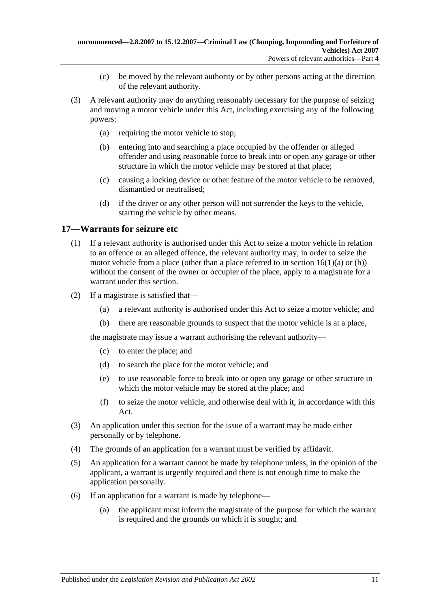- (c) be moved by the relevant authority or by other persons acting at the direction of the relevant authority.
- (3) A relevant authority may do anything reasonably necessary for the purpose of seizing and moving a motor vehicle under this Act, including exercising any of the following powers:
	- (a) requiring the motor vehicle to stop;
	- (b) entering into and searching a place occupied by the offender or alleged offender and using reasonable force to break into or open any garage or other structure in which the motor vehicle may be stored at that place;
	- (c) causing a locking device or other feature of the motor vehicle to be removed, dismantled or neutralised;
	- (d) if the driver or any other person will not surrender the keys to the vehicle, starting the vehicle by other means.

### <span id="page-10-0"></span>**17—Warrants for seizure etc**

- (1) If a relevant authority is authorised under this Act to seize a motor vehicle in relation to an offence or an alleged offence, the relevant authority may, in order to seize the motor vehicle from a place (other than a place referred to in section  $16(1)(a)$  or [\(b\)\)](#page-9-3) without the consent of the owner or occupier of the place, apply to a magistrate for a warrant under this section.
- (2) If a magistrate is satisfied that—
	- (a) a relevant authority is authorised under this Act to seize a motor vehicle; and
	- (b) there are reasonable grounds to suspect that the motor vehicle is at a place,

the magistrate may issue a warrant authorising the relevant authority—

- (c) to enter the place; and
- (d) to search the place for the motor vehicle; and
- (e) to use reasonable force to break into or open any garage or other structure in which the motor vehicle may be stored at the place; and
- (f) to seize the motor vehicle, and otherwise deal with it, in accordance with this Act.
- (3) An application under this section for the issue of a warrant may be made either personally or by telephone.
- (4) The grounds of an application for a warrant must be verified by affidavit.
- (5) An application for a warrant cannot be made by telephone unless, in the opinion of the applicant, a warrant is urgently required and there is not enough time to make the application personally.
- (6) If an application for a warrant is made by telephone—
	- (a) the applicant must inform the magistrate of the purpose for which the warrant is required and the grounds on which it is sought; and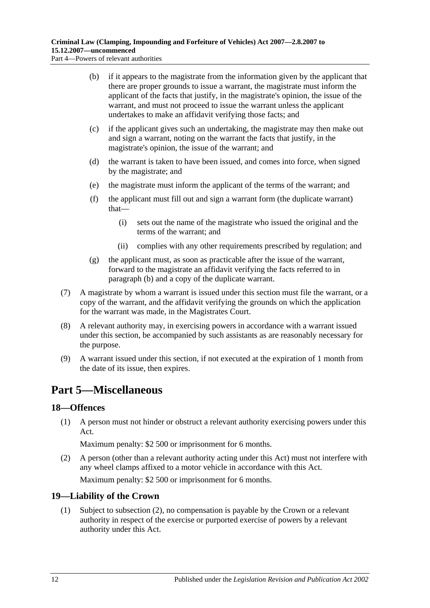<span id="page-11-3"></span>Part 4—Powers of relevant authorities

- (b) if it appears to the magistrate from the information given by the applicant that there are proper grounds to issue a warrant, the magistrate must inform the applicant of the facts that justify, in the magistrate's opinion, the issue of the warrant, and must not proceed to issue the warrant unless the applicant undertakes to make an affidavit verifying those facts; and
- (c) if the applicant gives such an undertaking, the magistrate may then make out and sign a warrant, noting on the warrant the facts that justify, in the magistrate's opinion, the issue of the warrant; and
- (d) the warrant is taken to have been issued, and comes into force, when signed by the magistrate; and
- (e) the magistrate must inform the applicant of the terms of the warrant; and
- (f) the applicant must fill out and sign a warrant form (the duplicate warrant) that—
	- (i) sets out the name of the magistrate who issued the original and the terms of the warrant; and
	- (ii) complies with any other requirements prescribed by regulation; and
- (g) the applicant must, as soon as practicable after the issue of the warrant, forward to the magistrate an affidavit verifying the facts referred to in [paragraph](#page-11-3) (b) and a copy of the duplicate warrant.
- (7) A magistrate by whom a warrant is issued under this section must file the warrant, or a copy of the warrant, and the affidavit verifying the grounds on which the application for the warrant was made, in the Magistrates Court.
- (8) A relevant authority may, in exercising powers in accordance with a warrant issued under this section, be accompanied by such assistants as are reasonably necessary for the purpose.
- (9) A warrant issued under this section, if not executed at the expiration of 1 month from the date of its issue, then expires.

# <span id="page-11-0"></span>**Part 5—Miscellaneous**

### <span id="page-11-1"></span>**18—Offences**

(1) A person must not hinder or obstruct a relevant authority exercising powers under this Act.

Maximum penalty: \$2 500 or imprisonment for 6 months.

(2) A person (other than a relevant authority acting under this Act) must not interfere with any wheel clamps affixed to a motor vehicle in accordance with this Act.

Maximum penalty: \$2 500 or imprisonment for 6 months.

### <span id="page-11-2"></span>**19—Liability of the Crown**

(1) Subject to [subsection](#page-12-1) (2), no compensation is payable by the Crown or a relevant authority in respect of the exercise or purported exercise of powers by a relevant authority under this Act.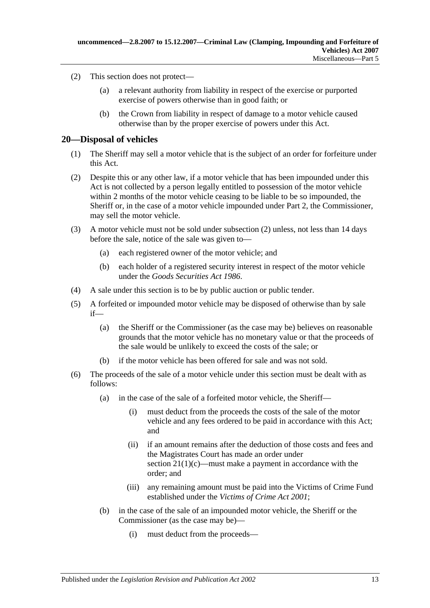- <span id="page-12-1"></span>(2) This section does not protect—
	- (a) a relevant authority from liability in respect of the exercise or purported exercise of powers otherwise than in good faith; or
	- (b) the Crown from liability in respect of damage to a motor vehicle caused otherwise than by the proper exercise of powers under this Act.

### <span id="page-12-0"></span>**20—Disposal of vehicles**

- (1) The Sheriff may sell a motor vehicle that is the subject of an order for forfeiture under this Act.
- <span id="page-12-2"></span>(2) Despite this or any other law, if a motor vehicle that has been impounded under this Act is not collected by a person legally entitled to possession of the motor vehicle within 2 months of the motor vehicle ceasing to be liable to be so impounded, the Sheriff or, in the case of a motor vehicle impounded under [Part 2,](#page-2-1) the Commissioner, may sell the motor vehicle.
- (3) A motor vehicle must not be sold under [subsection](#page-12-2) (2) unless, not less than 14 days before the sale, notice of the sale was given to—
	- (a) each registered owner of the motor vehicle; and
	- (b) each holder of a registered security interest in respect of the motor vehicle under the *[Goods Securities Act](http://www.legislation.sa.gov.au/index.aspx?action=legref&type=act&legtitle=Goods%20Securities%20Act%201986) 1986*.
- (4) A sale under this section is to be by public auction or public tender.
- (5) A forfeited or impounded motor vehicle may be disposed of otherwise than by sale if—
	- (a) the Sheriff or the Commissioner (as the case may be) believes on reasonable grounds that the motor vehicle has no monetary value or that the proceeds of the sale would be unlikely to exceed the costs of the sale; or
	- (b) if the motor vehicle has been offered for sale and was not sold.
- <span id="page-12-3"></span>(6) The proceeds of the sale of a motor vehicle under this section must be dealt with as follows:
	- (a) in the case of the sale of a forfeited motor vehicle, the Sheriff—
		- (i) must deduct from the proceeds the costs of the sale of the motor vehicle and any fees ordered to be paid in accordance with this Act; and
		- (ii) if an amount remains after the deduction of those costs and fees and the Magistrates Court has made an order under section  $21(1)(c)$ —must make a payment in accordance with the order; and
		- (iii) any remaining amount must be paid into the Victims of Crime Fund established under the *[Victims of Crime Act](http://www.legislation.sa.gov.au/index.aspx?action=legref&type=act&legtitle=Victims%20of%20Crime%20Act%202001) 2001*;
	- (b) in the case of the sale of an impounded motor vehicle, the Sheriff or the Commissioner (as the case may be)—
		- (i) must deduct from the proceeds—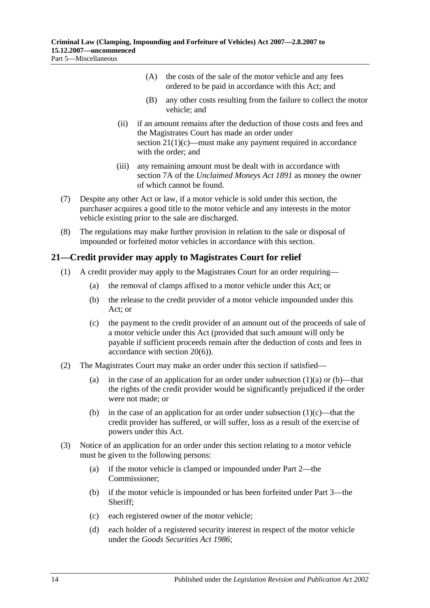- (A) the costs of the sale of the motor vehicle and any fees ordered to be paid in accordance with this Act; and
- (B) any other costs resulting from the failure to collect the motor vehicle; and
- (ii) if an amount remains after the deduction of those costs and fees and the Magistrates Court has made an order under section  $21(1)(c)$ —must make any payment required in accordance with the order; and
- (iii) any remaining amount must be dealt with in accordance with section 7A of the *[Unclaimed Moneys Act](http://www.legislation.sa.gov.au/index.aspx?action=legref&type=act&legtitle=Unclaimed%20Moneys%20Act%201891) 1891* as money the owner of which cannot be found.
- (7) Despite any other Act or law, if a motor vehicle is sold under this section, the purchaser acquires a good title to the motor vehicle and any interests in the motor vehicle existing prior to the sale are discharged.
- (8) The regulations may make further provision in relation to the sale or disposal of impounded or forfeited motor vehicles in accordance with this section.

### <span id="page-13-0"></span>**21—Credit provider may apply to Magistrates Court for relief**

- <span id="page-13-3"></span><span id="page-13-2"></span><span id="page-13-1"></span>(1) A credit provider may apply to the Magistrates Court for an order requiring—
	- (a) the removal of clamps affixed to a motor vehicle under this Act; or
	- (b) the release to the credit provider of a motor vehicle impounded under this Act; or
	- (c) the payment to the credit provider of an amount out of the proceeds of sale of a motor vehicle under this Act (provided that such amount will only be payable if sufficient proceeds remain after the deduction of costs and fees in accordance with [section](#page-12-3) 20(6)).
- (2) The Magistrates Court may make an order under this section if satisfied
	- (a) in the case of an application for an order under [subsection](#page-13-2)  $(1)(a)$  or  $(b)$ —that the rights of the credit provider would be significantly prejudiced if the order were not made; or
	- (b) in the case of an application for an order under [subsection](#page-13-1)  $(1)(c)$ —that the credit provider has suffered, or will suffer, loss as a result of the exercise of powers under this Act.
- <span id="page-13-4"></span>(3) Notice of an application for an order under this section relating to a motor vehicle must be given to the following persons:
	- (a) if the motor vehicle is clamped or impounded under [Part 2—](#page-2-1)the Commissioner;
	- (b) if the motor vehicle is impounded or has been forfeited under [Part 3—](#page-5-1)the Sheriff;
	- (c) each registered owner of the motor vehicle;
	- (d) each holder of a registered security interest in respect of the motor vehicle under the *[Goods Securities Act](http://www.legislation.sa.gov.au/index.aspx?action=legref&type=act&legtitle=Goods%20Securities%20Act%201986) 1986*;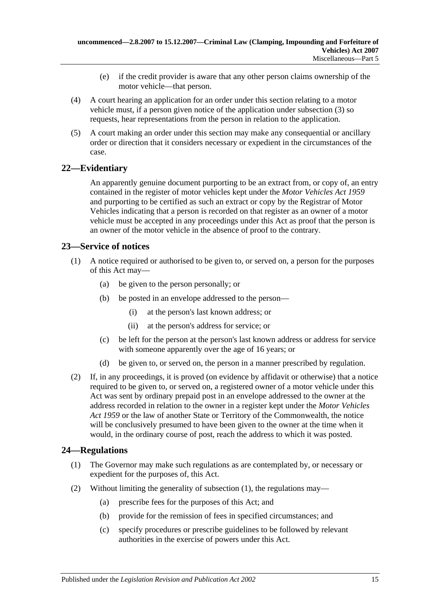- (e) if the credit provider is aware that any other person claims ownership of the motor vehicle—that person.
- (4) A court hearing an application for an order under this section relating to a motor vehicle must, if a person given notice of the application under [subsection](#page-13-4) (3) so requests, hear representations from the person in relation to the application.
- (5) A court making an order under this section may make any consequential or ancillary order or direction that it considers necessary or expedient in the circumstances of the case.

### <span id="page-14-0"></span>**22—Evidentiary**

An apparently genuine document purporting to be an extract from, or copy of, an entry contained in the register of motor vehicles kept under the *[Motor Vehicles Act](http://www.legislation.sa.gov.au/index.aspx?action=legref&type=act&legtitle=Motor%20Vehicles%20Act%201959) 1959* and purporting to be certified as such an extract or copy by the Registrar of Motor Vehicles indicating that a person is recorded on that register as an owner of a motor vehicle must be accepted in any proceedings under this Act as proof that the person is an owner of the motor vehicle in the absence of proof to the contrary.

### <span id="page-14-1"></span>**23—Service of notices**

- (1) A notice required or authorised to be given to, or served on, a person for the purposes of this Act may—
	- (a) be given to the person personally; or
	- (b) be posted in an envelope addressed to the person—
		- (i) at the person's last known address; or
		- (ii) at the person's address for service; or
	- (c) be left for the person at the person's last known address or address for service with someone apparently over the age of 16 years; or
	- (d) be given to, or served on, the person in a manner prescribed by regulation.
- (2) If, in any proceedings, it is proved (on evidence by affidavit or otherwise) that a notice required to be given to, or served on, a registered owner of a motor vehicle under this Act was sent by ordinary prepaid post in an envelope addressed to the owner at the address recorded in relation to the owner in a register kept under the *[Motor Vehicles](http://www.legislation.sa.gov.au/index.aspx?action=legref&type=act&legtitle=Motor%20Vehicles%20Act%201959)  Act [1959](http://www.legislation.sa.gov.au/index.aspx?action=legref&type=act&legtitle=Motor%20Vehicles%20Act%201959)* or the law of another State or Territory of the Commonwealth, the notice will be conclusively presumed to have been given to the owner at the time when it would, in the ordinary course of post, reach the address to which it was posted.

### <span id="page-14-3"></span><span id="page-14-2"></span>**24—Regulations**

- (1) The Governor may make such regulations as are contemplated by, or necessary or expedient for the purposes of, this Act.
- (2) Without limiting the generality of [subsection](#page-14-3) (1), the regulations may—
	- (a) prescribe fees for the purposes of this Act; and
	- (b) provide for the remission of fees in specified circumstances; and
	- (c) specify procedures or prescribe guidelines to be followed by relevant authorities in the exercise of powers under this Act.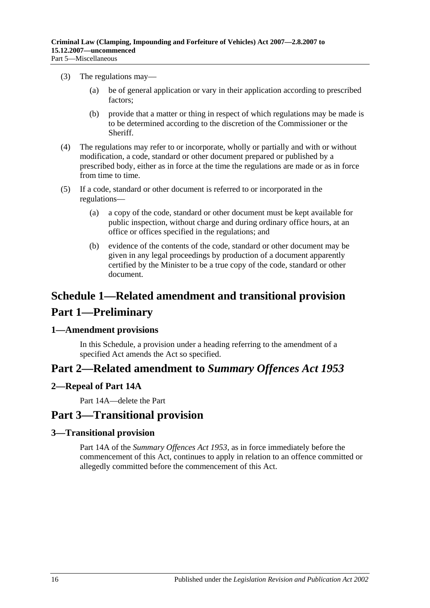- (3) The regulations may—
	- (a) be of general application or vary in their application according to prescribed factors;
	- (b) provide that a matter or thing in respect of which regulations may be made is to be determined according to the discretion of the Commissioner or the Sheriff.
- (4) The regulations may refer to or incorporate, wholly or partially and with or without modification, a code, standard or other document prepared or published by a prescribed body, either as in force at the time the regulations are made or as in force from time to time.
- (5) If a code, standard or other document is referred to or incorporated in the regulations—
	- (a) a copy of the code, standard or other document must be kept available for public inspection, without charge and during ordinary office hours, at an office or offices specified in the regulations; and
	- (b) evidence of the contents of the code, standard or other document may be given in any legal proceedings by production of a document apparently certified by the Minister to be a true copy of the code, standard or other document.

# <span id="page-15-0"></span>**Schedule 1—Related amendment and transitional provision Part 1—Preliminary**

### <span id="page-15-1"></span>**1—Amendment provisions**

In this Schedule, a provision under a heading referring to the amendment of a specified Act amends the Act so specified.

## **Part 2—Related amendment to** *Summary Offences Act 1953*

### <span id="page-15-2"></span>**2—Repeal of Part 14A**

Part 14A—delete the Part

## **Part 3—Transitional provision**

### <span id="page-15-3"></span>**3—Transitional provision**

Part 14A of the *[Summary Offences Act](http://www.legislation.sa.gov.au/index.aspx?action=legref&type=act&legtitle=Summary%20Offences%20Act%201953) 1953*, as in force immediately before the commencement of this Act, continues to apply in relation to an offence committed or allegedly committed before the commencement of this Act.